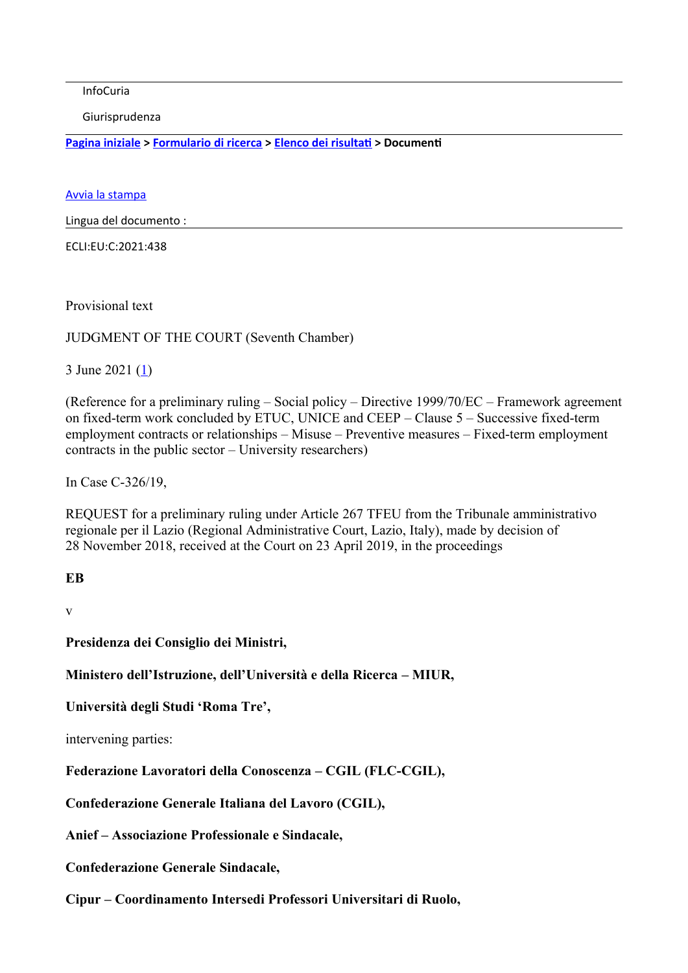InfoCuria

Giurisprudenza

**[Pagina iniziale](http://curia.europa.eu/jcms/jcms/j_6?PortalAction_x_000_userLang=it) > [Formulario di ricerca](https://curia.europa.eu/juris/document/document.jsf?docid=242021&text=&dir=&doclang=EN&part=1&occ=first&mode=lst&pageIndex=0&actionMethod=document%2Fdocument.xhtml%3AformController.resetAction&cid=25023421) > [Elenco dei risultati](https://curia.europa.eu/juris/documents.jsf?oqp=&for=&mat=or&lgrec=it&jge=&td=%3BALL&jur=C%2CT%2CF&num=C-326%252F19&page=1&dates=&pcs=Oor&lg=&pro=&nat=or&cit=none%252CC%252CCJ%252CR%252C2008E%252C%252C%252C%252C%252C%252C%252C%252C%252C%252Ctrue%252Cfalse%252Cfalse&language=it&avg=&cid=25023421) > Documenti** 

[Avvia la stampa](https://curia.europa.eu/juris/document/document_print.jsf?docid=242021&text=&dir=&doclang=EN&part=1&occ=first&mode=lst&pageIndex=0&cid=25023421)

Lingua del documento :

ECLI:EU:C:2021:438

Provisional text

JUDGMENT OF THE COURT (Seventh Chamber)

3 June 2021 ([1\)](https://curia.europa.eu/juris/document/document.jsf?text=&docid=242021&pageIndex=0&doclang=EN&mode=lst&dir=&occ=first&part=1&cid=25023421#Footnote1)

(Reference for a preliminary ruling – Social policy – Directive 1999/70/EC – Framework agreement on fixed-term work concluded by ETUC, UNICE and CEEP – Clause 5 – Successive fixed-term employment contracts or relationships – Misuse – Preventive measures – Fixed-term employment contracts in the public sector – University researchers)

In Case C-326/19,

REQUEST for a preliminary ruling under Article 267 TFEU from the Tribunale amministrativo regionale per il Lazio (Regional Administrative Court, Lazio, Italy), made by decision of 28 November 2018, received at the Court on 23 April 2019, in the proceedings

#### **EB**

v

**Presidenza dei Consiglio dei Ministri,**

**Ministero dell'Istruzione, dell'Università e della Ricerca – MIUR,**

**Università degli Studi 'Roma Tre',**

intervening parties:

**Federazione Lavoratori della Conoscenza – CGIL (FLC-CGIL),**

**Confederazione Generale Italiana del Lavoro (CGIL),**

**Anief – Associazione Professionale e Sindacale,**

**Confederazione Generale Sindacale,**

**Cipur – Coordinamento Intersedi Professori Universitari di Ruolo,**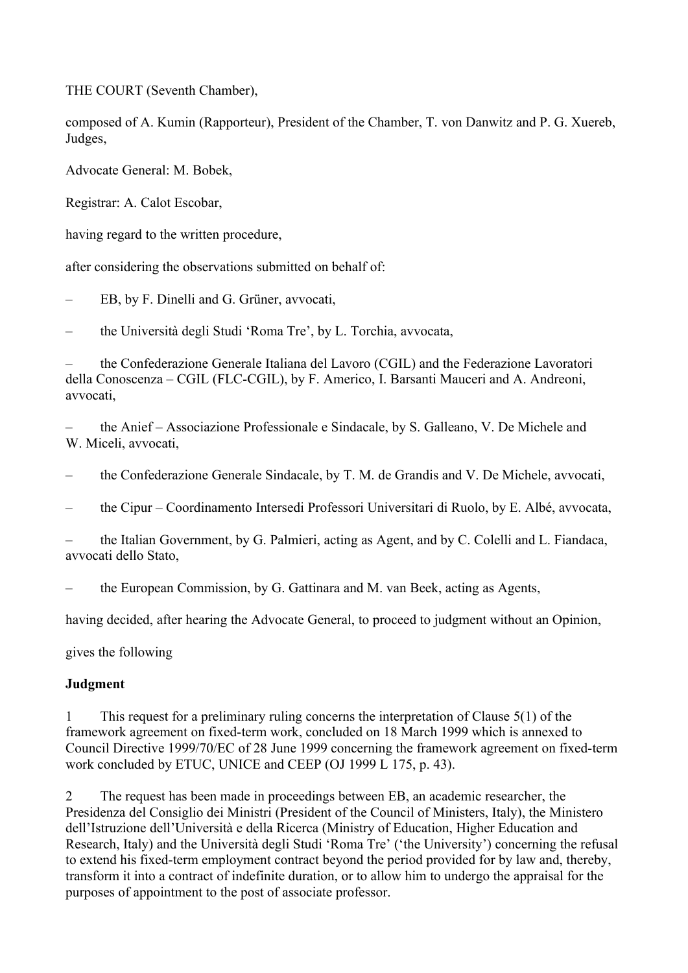THE COURT (Seventh Chamber),

composed of A. Kumin (Rapporteur), President of the Chamber, T. von Danwitz and P. G. Xuereb, Judges,

Advocate General: M. Bobek,

Registrar: A. Calot Escobar,

having regard to the written procedure,

after considering the observations submitted on behalf of:

– EB, by F. Dinelli and G. Grüner, avvocati,

– the Università degli Studi 'Roma Tre', by L. Torchia, avvocata,

– the Confederazione Generale Italiana del Lavoro (CGIL) and the Federazione Lavoratori della Conoscenza – CGIL (FLC-CGIL), by F. Americo, I. Barsanti Mauceri and A. Andreoni, avvocati,

– the Anief – Associazione Professionale e Sindacale, by S. Galleano, V. De Michele and W. Miceli, avvocati,

– the Confederazione Generale Sindacale, by T. M. de Grandis and V. De Michele, avvocati,

– the Cipur – Coordinamento Intersedi Professori Universitari di Ruolo, by E. Albé, avvocata,

– the Italian Government, by G. Palmieri, acting as Agent, and by C. Colelli and L. Fiandaca, avvocati dello Stato,

– the European Commission, by G. Gattinara and M. van Beek, acting as Agents,

having decided, after hearing the Advocate General, to proceed to judgment without an Opinion,

gives the following

### **Judgment**

1 This request for a preliminary ruling concerns the interpretation of Clause 5(1) of the framework agreement on fixed-term work, concluded on 18 March 1999 which is annexed to Council Directive 1999/70/EC of 28 June 1999 concerning the framework agreement on fixed-term work concluded by ETUC, UNICE and CEEP (OJ 1999 L 175, p. 43).

2 The request has been made in proceedings between EB, an academic researcher, the Presidenza del Consiglio dei Ministri (President of the Council of Ministers, Italy), the Ministero dell'Istruzione dell'Università e della Ricerca (Ministry of Education, Higher Education and Research, Italy) and the Università degli Studi 'Roma Tre' ('the University') concerning the refusal to extend his fixed-term employment contract beyond the period provided for by law and, thereby, transform it into a contract of indefinite duration, or to allow him to undergo the appraisal for the purposes of appointment to the post of associate professor.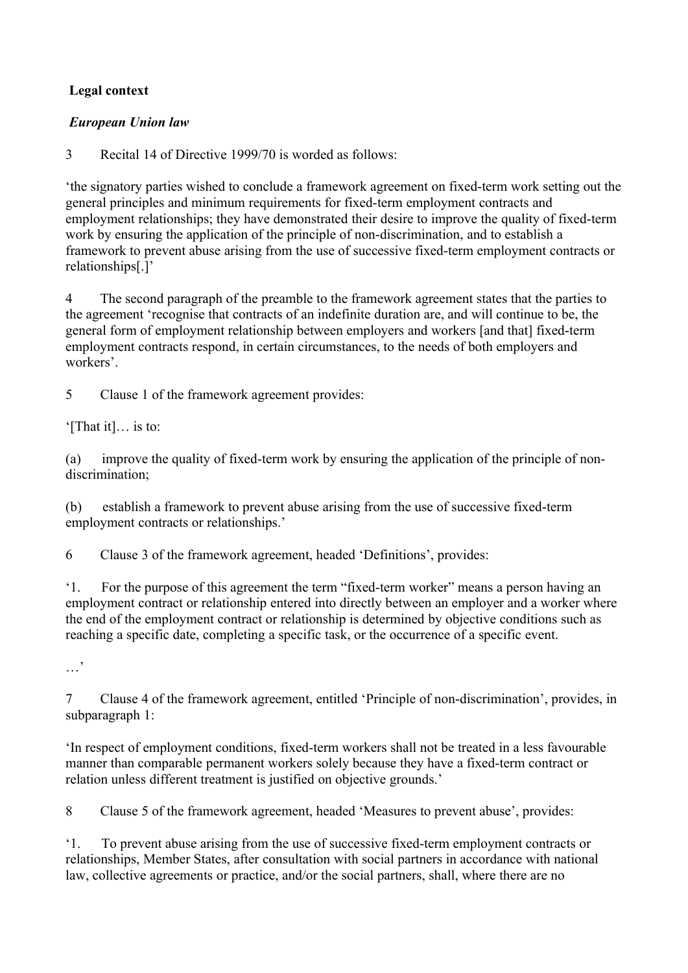# **Legal context**

## *European Union law*

3 Recital 14 of Directive 1999/70 is worded as follows:

'the signatory parties wished to conclude a framework agreement on fixed-term work setting out the general principles and minimum requirements for fixed-term employment contracts and employment relationships; they have demonstrated their desire to improve the quality of fixed-term work by ensuring the application of the principle of non-discrimination, and to establish a framework to prevent abuse arising from the use of successive fixed-term employment contracts or relationships[.]'

4 The second paragraph of the preamble to the framework agreement states that the parties to the agreement 'recognise that contracts of an indefinite duration are, and will continue to be, the general form of employment relationship between employers and workers [and that] fixed-term employment contracts respond, in certain circumstances, to the needs of both employers and workers'.

5 Clause 1 of the framework agreement provides:

'[That it]… is to:

(a) improve the quality of fixed-term work by ensuring the application of the principle of nondiscrimination;

(b) establish a framework to prevent abuse arising from the use of successive fixed-term employment contracts or relationships.'

6 Clause 3 of the framework agreement, headed 'Definitions', provides:

'1. For the purpose of this agreement the term "fixed-term worker" means a person having an employment contract or relationship entered into directly between an employer and a worker where the end of the employment contract or relationship is determined by objective conditions such as reaching a specific date, completing a specific task, or the occurrence of a specific event.

…'

7 Clause 4 of the framework agreement, entitled 'Principle of non-discrimination', provides, in subparagraph 1:

'In respect of employment conditions, fixed-term workers shall not be treated in a less favourable manner than comparable permanent workers solely because they have a fixed-term contract or relation unless different treatment is justified on objective grounds.'

8 Clause 5 of the framework agreement, headed 'Measures to prevent abuse', provides:

'1. To prevent abuse arising from the use of successive fixed-term employment contracts or relationships, Member States, after consultation with social partners in accordance with national law, collective agreements or practice, and/or the social partners, shall, where there are no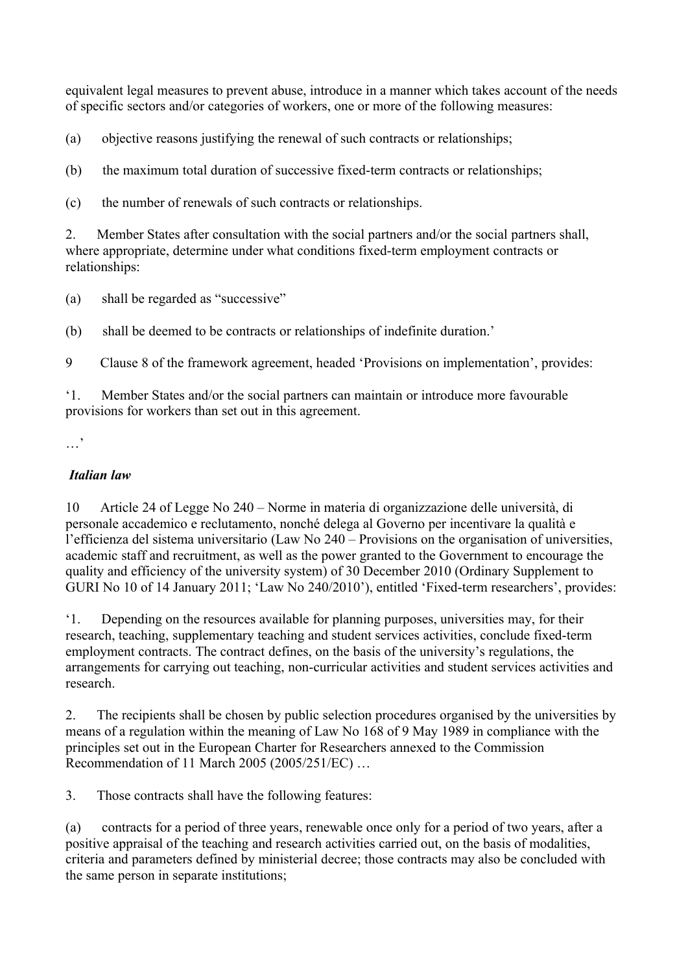equivalent legal measures to prevent abuse, introduce in a manner which takes account of the needs of specific sectors and/or categories of workers, one or more of the following measures:

(a) objective reasons justifying the renewal of such contracts or relationships;

(b) the maximum total duration of successive fixed-term contracts or relationships;

(c) the number of renewals of such contracts or relationships.

2. Member States after consultation with the social partners and/or the social partners shall, where appropriate, determine under what conditions fixed-term employment contracts or relationships:

(a) shall be regarded as "successive"

(b) shall be deemed to be contracts or relationships of indefinite duration.'

9 Clause 8 of the framework agreement, headed 'Provisions on implementation', provides:

'1. Member States and/or the social partners can maintain or introduce more favourable provisions for workers than set out in this agreement.

### *Italian law*

10 Article 24 of Legge No 240 – Norme in materia di organizzazione delle università, di personale accademico e reclutamento, nonché delega al Governo per incentivare la qualità e l'efficienza del sistema universitario (Law No 240 – Provisions on the organisation of universities, academic staff and recruitment, as well as the power granted to the Government to encourage the quality and efficiency of the university system) of 30 December 2010 (Ordinary Supplement to GURI No 10 of 14 January 2011; 'Law No 240/2010'), entitled 'Fixed-term researchers', provides:

'1. Depending on the resources available for planning purposes, universities may, for their research, teaching, supplementary teaching and student services activities, conclude fixed-term employment contracts. The contract defines, on the basis of the university's regulations, the arrangements for carrying out teaching, non-curricular activities and student services activities and research.

2. The recipients shall be chosen by public selection procedures organised by the universities by means of a regulation within the meaning of Law No 168 of 9 May 1989 in compliance with the principles set out in the European Charter for Researchers annexed to the Commission Recommendation of 11 March 2005 (2005/251/EC) …

3. Those contracts shall have the following features:

(a) contracts for a period of three years, renewable once only for a period of two years, after a positive appraisal of the teaching and research activities carried out, on the basis of modalities, criteria and parameters defined by ministerial decree; those contracts may also be concluded with the same person in separate institutions;

<sup>…&#</sup>x27;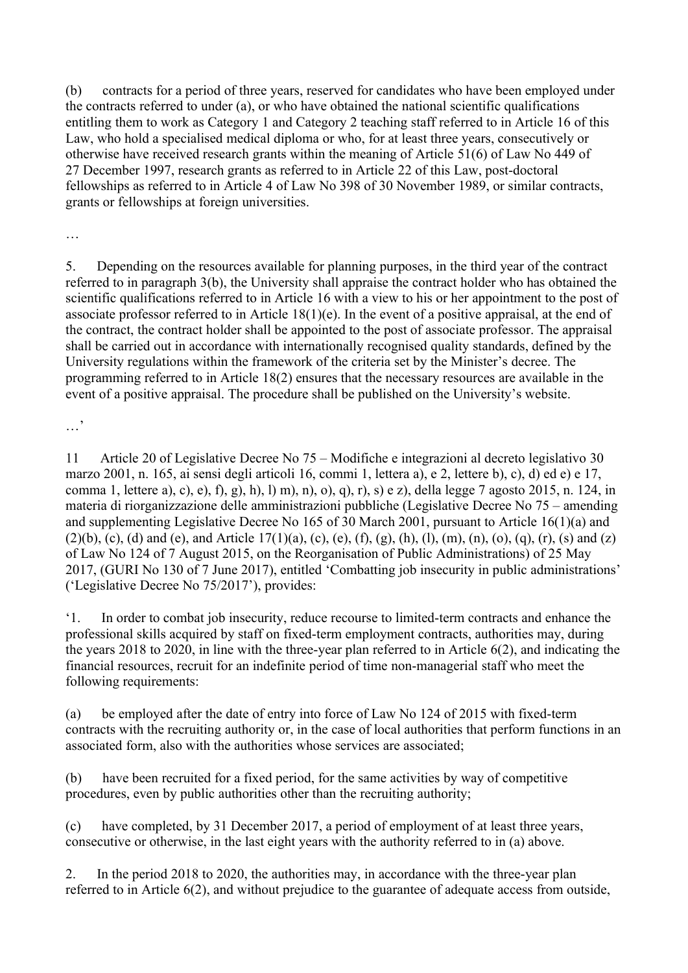(b) contracts for a period of three years, reserved for candidates who have been employed under the contracts referred to under (a), or who have obtained the national scientific qualifications entitling them to work as Category 1 and Category 2 teaching staff referred to in Article 16 of this Law, who hold a specialised medical diploma or who, for at least three years, consecutively or otherwise have received research grants within the meaning of Article 51(6) of Law No 449 of 27 December 1997, research grants as referred to in Article 22 of this Law, post-doctoral fellowships as referred to in Article 4 of Law No 398 of 30 November 1989, or similar contracts, grants or fellowships at foreign universities.

…

5. Depending on the resources available for planning purposes, in the third year of the contract referred to in paragraph 3(b), the University shall appraise the contract holder who has obtained the scientific qualifications referred to in Article 16 with a view to his or her appointment to the post of associate professor referred to in Article 18(1)(e). In the event of a positive appraisal, at the end of the contract, the contract holder shall be appointed to the post of associate professor. The appraisal shall be carried out in accordance with internationally recognised quality standards, defined by the University regulations within the framework of the criteria set by the Minister's decree. The programming referred to in Article 18(2) ensures that the necessary resources are available in the event of a positive appraisal. The procedure shall be published on the University's website.

…,

11 Article 20 of Legislative Decree No 75 – Modifiche e integrazioni al decreto legislativo 30 marzo 2001, n. 165, ai sensi degli articoli 16, commi 1, lettera a), e 2, lettere b), c), d) ed e) e 17, comma 1, lettere a), c), e), f), g), h), l) m), n), o), q), r), s) e z), della legge 7 agosto 2015, n. 124, in materia di riorganizzazione delle amministrazioni pubbliche (Legislative Decree No 75 – amending and supplementing Legislative Decree No 165 of 30 March 2001, pursuant to Article 16(1)(a) and  $(2)(b)$ , (c), (d) and (e), and Article 17(1)(a), (c), (e), (f), (g), (h), (l), (m), (n), (o), (q), (r), (s) and (z) of Law No 124 of 7 August 2015, on the Reorganisation of Public Administrations) of 25 May 2017, (GURI No 130 of 7 June 2017), entitled 'Combatting job insecurity in public administrations' ('Legislative Decree No 75/2017'), provides:

'1. In order to combat job insecurity, reduce recourse to limited-term contracts and enhance the professional skills acquired by staff on fixed-term employment contracts, authorities may, during the years 2018 to 2020, in line with the three-year plan referred to in Article 6(2), and indicating the financial resources, recruit for an indefinite period of time non-managerial staff who meet the following requirements:

(a) be employed after the date of entry into force of Law No 124 of 2015 with fixed-term contracts with the recruiting authority or, in the case of local authorities that perform functions in an associated form, also with the authorities whose services are associated;

(b) have been recruited for a fixed period, for the same activities by way of competitive procedures, even by public authorities other than the recruiting authority;

(c) have completed, by 31 December 2017, a period of employment of at least three years, consecutive or otherwise, in the last eight years with the authority referred to in (a) above.

2. In the period 2018 to 2020, the authorities may, in accordance with the three-year plan referred to in Article 6(2), and without prejudice to the guarantee of adequate access from outside,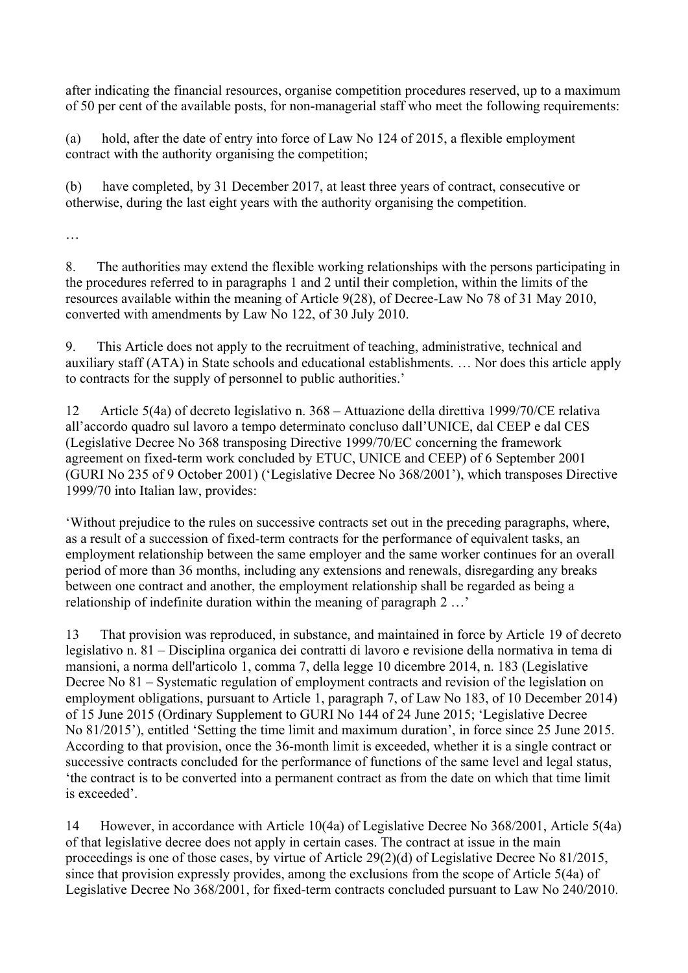after indicating the financial resources, organise competition procedures reserved, up to a maximum of 50 per cent of the available posts, for non-managerial staff who meet the following requirements:

(a) hold, after the date of entry into force of Law No 124 of 2015, a flexible employment contract with the authority organising the competition;

(b) have completed, by 31 December 2017, at least three years of contract, consecutive or otherwise, during the last eight years with the authority organising the competition.

…

8. The authorities may extend the flexible working relationships with the persons participating in the procedures referred to in paragraphs 1 and 2 until their completion, within the limits of the resources available within the meaning of Article 9(28), of Decree-Law No 78 of 31 May 2010, converted with amendments by Law No 122, of 30 July 2010.

9. This Article does not apply to the recruitment of teaching, administrative, technical and auxiliary staff (ATA) in State schools and educational establishments. … Nor does this article apply to contracts for the supply of personnel to public authorities.'

12 Article 5(4a) of decreto legislativo n. 368 – Attuazione della direttiva 1999/70/CE relativa all'accordo quadro sul lavoro a tempo determinato concluso dall'UNICE, dal CEEP e dal CES (Legislative Decree No 368 transposing Directive 1999/70/EC concerning the framework agreement on fixed-term work concluded by ETUC, UNICE and CEEP) of 6 September 2001 (GURI No 235 of 9 October 2001) ('Legislative Decree No 368/2001'), which transposes Directive 1999/70 into Italian law, provides:

'Without prejudice to the rules on successive contracts set out in the preceding paragraphs, where, as a result of a succession of fixed-term contracts for the performance of equivalent tasks, an employment relationship between the same employer and the same worker continues for an overall period of more than 36 months, including any extensions and renewals, disregarding any breaks between one contract and another, the employment relationship shall be regarded as being a relationship of indefinite duration within the meaning of paragraph 2 …'

13 That provision was reproduced, in substance, and maintained in force by Article 19 of decreto legislativo n. 81 – Disciplina organica dei contratti di lavoro e revisione della normativa in tema di mansioni, a norma dell'articolo 1, comma 7, della legge 10 dicembre 2014, n. 183 (Legislative Decree No 81 – Systematic regulation of employment contracts and revision of the legislation on employment obligations, pursuant to Article 1, paragraph 7, of Law No 183, of 10 December 2014) of 15 June 2015 (Ordinary Supplement to GURI No 144 of 24 June 2015; 'Legislative Decree No 81/2015'), entitled 'Setting the time limit and maximum duration', in force since 25 June 2015. According to that provision, once the 36-month limit is exceeded, whether it is a single contract or successive contracts concluded for the performance of functions of the same level and legal status, 'the contract is to be converted into a permanent contract as from the date on which that time limit is exceeded'.

14 However, in accordance with Article 10(4a) of Legislative Decree No 368/2001, Article 5(4a) of that legislative decree does not apply in certain cases. The contract at issue in the main proceedings is one of those cases, by virtue of Article 29(2)(d) of Legislative Decree No 81/2015, since that provision expressly provides, among the exclusions from the scope of Article 5(4a) of Legislative Decree No 368/2001, for fixed-term contracts concluded pursuant to Law No 240/2010.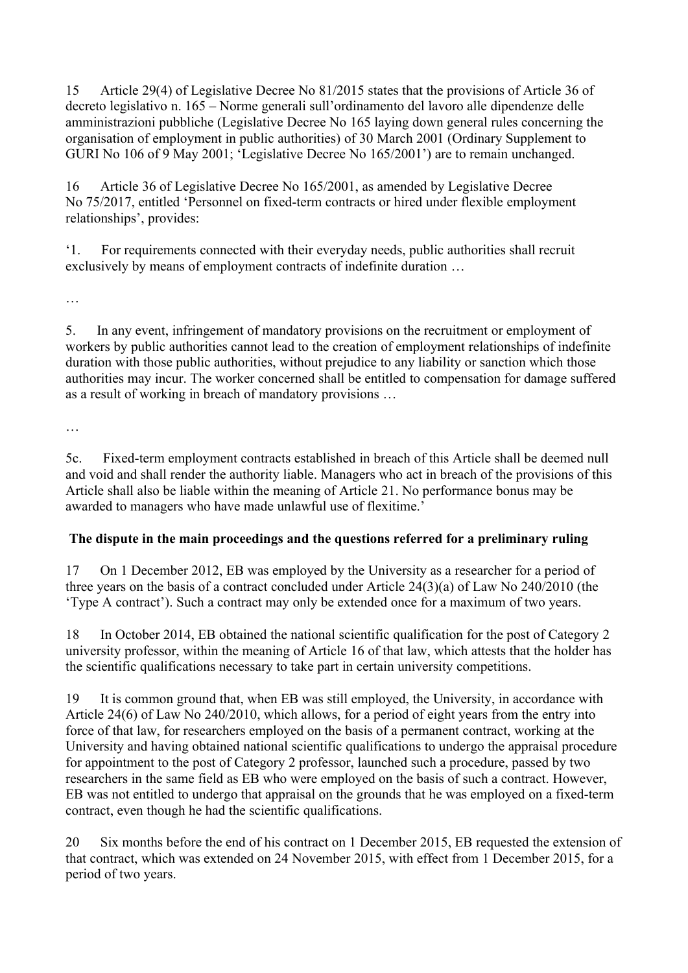15 Article 29(4) of Legislative Decree No 81/2015 states that the provisions of Article 36 of decreto legislativo n. 165 – Norme generali sull'ordinamento del lavoro alle dipendenze delle amministrazioni pubbliche (Legislative Decree No 165 laying down general rules concerning the organisation of employment in public authorities) of 30 March 2001 (Ordinary Supplement to GURI No 106 of 9 May 2001; 'Legislative Decree No 165/2001') are to remain unchanged.

16 Article 36 of Legislative Decree No 165/2001, as amended by Legislative Decree No 75/2017, entitled 'Personnel on fixed-term contracts or hired under flexible employment relationships', provides:

'1. For requirements connected with their everyday needs, public authorities shall recruit exclusively by means of employment contracts of indefinite duration …

…

5. In any event, infringement of mandatory provisions on the recruitment or employment of workers by public authorities cannot lead to the creation of employment relationships of indefinite duration with those public authorities, without prejudice to any liability or sanction which those authorities may incur. The worker concerned shall be entitled to compensation for damage suffered as a result of working in breach of mandatory provisions …

…

5c. Fixed-term employment contracts established in breach of this Article shall be deemed null and void and shall render the authority liable. Managers who act in breach of the provisions of this Article shall also be liable within the meaning of Article 21. No performance bonus may be awarded to managers who have made unlawful use of flexitime.'

# **The dispute in the main proceedings and the questions referred for a preliminary ruling**

17 On 1 December 2012, EB was employed by the University as a researcher for a period of three years on the basis of a contract concluded under Article 24(3)(a) of Law No 240/2010 (the 'Type A contract'). Such a contract may only be extended once for a maximum of two years.

18 In October 2014, EB obtained the national scientific qualification for the post of Category 2 university professor, within the meaning of Article 16 of that law, which attests that the holder has the scientific qualifications necessary to take part in certain university competitions.

19 It is common ground that, when EB was still employed, the University, in accordance with Article 24(6) of Law No 240/2010, which allows, for a period of eight years from the entry into force of that law, for researchers employed on the basis of a permanent contract, working at the University and having obtained national scientific qualifications to undergo the appraisal procedure for appointment to the post of Category 2 professor, launched such a procedure, passed by two researchers in the same field as EB who were employed on the basis of such a contract. However, EB was not entitled to undergo that appraisal on the grounds that he was employed on a fixed-term contract, even though he had the scientific qualifications.

20 Six months before the end of his contract on 1 December 2015, EB requested the extension of that contract, which was extended on 24 November 2015, with effect from 1 December 2015, for a period of two years.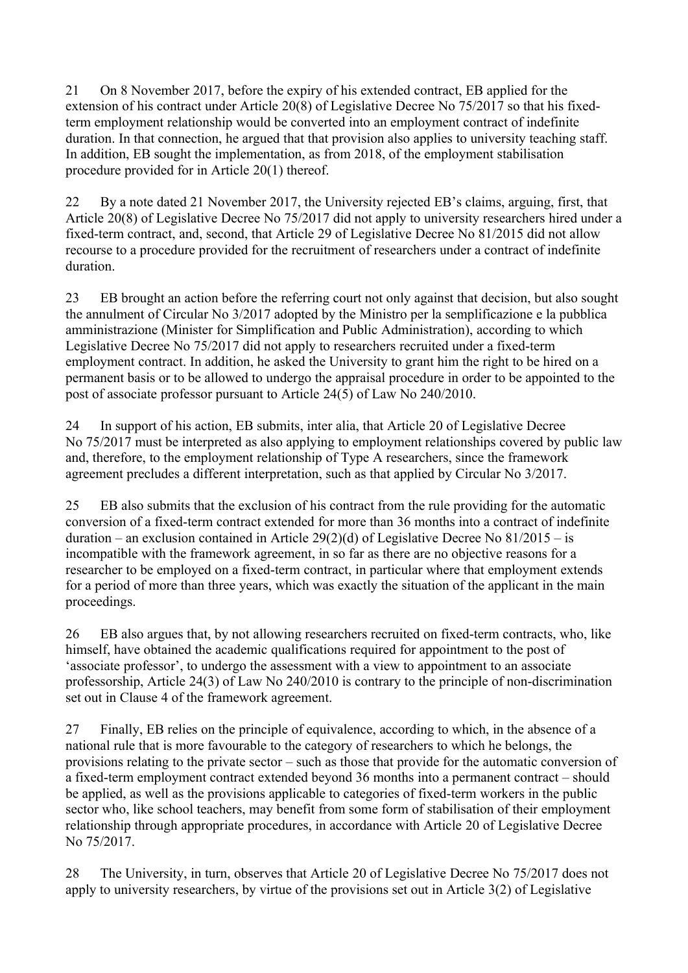21 On 8 November 2017, before the expiry of his extended contract, EB applied for the extension of his contract under Article 20(8) of Legislative Decree No 75/2017 so that his fixedterm employment relationship would be converted into an employment contract of indefinite duration. In that connection, he argued that that provision also applies to university teaching staff. In addition, EB sought the implementation, as from 2018, of the employment stabilisation procedure provided for in Article 20(1) thereof.

22 By a note dated 21 November 2017, the University rejected EB's claims, arguing, first, that Article 20(8) of Legislative Decree No 75/2017 did not apply to university researchers hired under a fixed-term contract, and, second, that Article 29 of Legislative Decree No 81/2015 did not allow recourse to a procedure provided for the recruitment of researchers under a contract of indefinite duration.

23 EB brought an action before the referring court not only against that decision, but also sought the annulment of Circular No 3/2017 adopted by the Ministro per la semplificazione e la pubblica amministrazione (Minister for Simplification and Public Administration), according to which Legislative Decree No 75/2017 did not apply to researchers recruited under a fixed-term employment contract. In addition, he asked the University to grant him the right to be hired on a permanent basis or to be allowed to undergo the appraisal procedure in order to be appointed to the post of associate professor pursuant to Article 24(5) of Law No 240/2010.

24 In support of his action, EB submits, inter alia, that Article 20 of Legislative Decree No 75/2017 must be interpreted as also applying to employment relationships covered by public law and, therefore, to the employment relationship of Type A researchers, since the framework agreement precludes a different interpretation, such as that applied by Circular No 3/2017.

25 EB also submits that the exclusion of his contract from the rule providing for the automatic conversion of a fixed-term contract extended for more than 36 months into a contract of indefinite duration – an exclusion contained in Article 29(2)(d) of Legislative Decree No  $81/2015 -$  is incompatible with the framework agreement, in so far as there are no objective reasons for a researcher to be employed on a fixed-term contract, in particular where that employment extends for a period of more than three years, which was exactly the situation of the applicant in the main proceedings.

26 EB also argues that, by not allowing researchers recruited on fixed-term contracts, who, like himself, have obtained the academic qualifications required for appointment to the post of 'associate professor', to undergo the assessment with a view to appointment to an associate professorship, Article 24(3) of Law No 240/2010 is contrary to the principle of non-discrimination set out in Clause 4 of the framework agreement.

27 Finally, EB relies on the principle of equivalence, according to which, in the absence of a national rule that is more favourable to the category of researchers to which he belongs, the provisions relating to the private sector – such as those that provide for the automatic conversion of a fixed-term employment contract extended beyond 36 months into a permanent contract – should be applied, as well as the provisions applicable to categories of fixed-term workers in the public sector who, like school teachers, may benefit from some form of stabilisation of their employment relationship through appropriate procedures, in accordance with Article 20 of Legislative Decree No 75/2017.

28 The University, in turn, observes that Article 20 of Legislative Decree No 75/2017 does not apply to university researchers, by virtue of the provisions set out in Article 3(2) of Legislative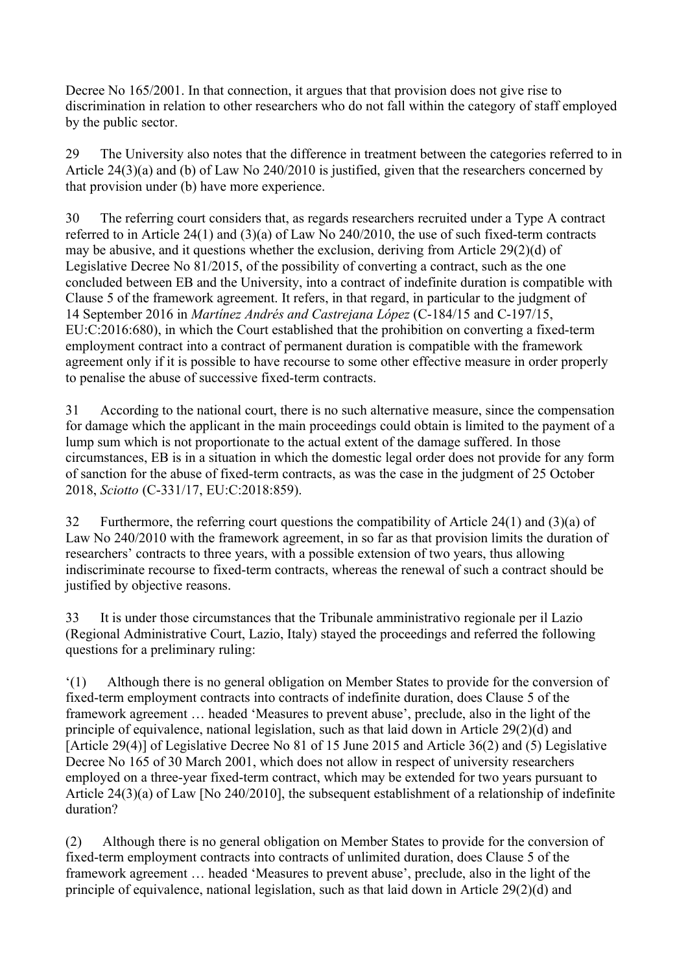Decree No 165/2001. In that connection, it argues that that provision does not give rise to discrimination in relation to other researchers who do not fall within the category of staff employed by the public sector.

29 The University also notes that the difference in treatment between the categories referred to in Article 24(3)(a) and (b) of Law No 240/2010 is justified, given that the researchers concerned by that provision under (b) have more experience.

30 The referring court considers that, as regards researchers recruited under a Type A contract referred to in Article 24(1) and (3)(a) of Law No 240/2010, the use of such fixed-term contracts may be abusive, and it questions whether the exclusion, deriving from Article 29(2)(d) of Legislative Decree No 81/2015, of the possibility of converting a contract, such as the one concluded between EB and the University, into a contract of indefinite duration is compatible with Clause 5 of the framework agreement. It refers, in that regard, in particular to the judgment of 14 September 2016 in *Martínez Andrés and Castrejana López* (C-184/15 and C-197/15, EU:C:2016:680), in which the Court established that the prohibition on converting a fixed-term employment contract into a contract of permanent duration is compatible with the framework agreement only if it is possible to have recourse to some other effective measure in order properly to penalise the abuse of successive fixed-term contracts.

31 According to the national court, there is no such alternative measure, since the compensation for damage which the applicant in the main proceedings could obtain is limited to the payment of a lump sum which is not proportionate to the actual extent of the damage suffered. In those circumstances, EB is in a situation in which the domestic legal order does not provide for any form of sanction for the abuse of fixed-term contracts, as was the case in the judgment of 25 October 2018, *Sciotto* (C-331/17, EU:C:2018:859).

32 Furthermore, the referring court questions the compatibility of Article 24(1) and (3)(a) of Law No 240/2010 with the framework agreement, in so far as that provision limits the duration of researchers' contracts to three years, with a possible extension of two years, thus allowing indiscriminate recourse to fixed-term contracts, whereas the renewal of such a contract should be justified by objective reasons.

33 It is under those circumstances that the Tribunale amministrativo regionale per il Lazio (Regional Administrative Court, Lazio, Italy) stayed the proceedings and referred the following questions for a preliminary ruling:

'(1) Although there is no general obligation on Member States to provide for the conversion of fixed-term employment contracts into contracts of indefinite duration, does Clause 5 of the framework agreement … headed 'Measures to prevent abuse', preclude, also in the light of the principle of equivalence, national legislation, such as that laid down in Article 29(2)(d) and [Article 29(4)] of Legislative Decree No 81 of 15 June 2015 and Article 36(2) and (5) Legislative Decree No 165 of 30 March 2001, which does not allow in respect of university researchers employed on a three-year fixed-term contract, which may be extended for two years pursuant to Article 24(3)(a) of Law [No 240/2010], the subsequent establishment of a relationship of indefinite duration?

(2) Although there is no general obligation on Member States to provide for the conversion of fixed-term employment contracts into contracts of unlimited duration, does Clause 5 of the framework agreement … headed 'Measures to prevent abuse', preclude, also in the light of the principle of equivalence, national legislation, such as that laid down in Article 29(2)(d) and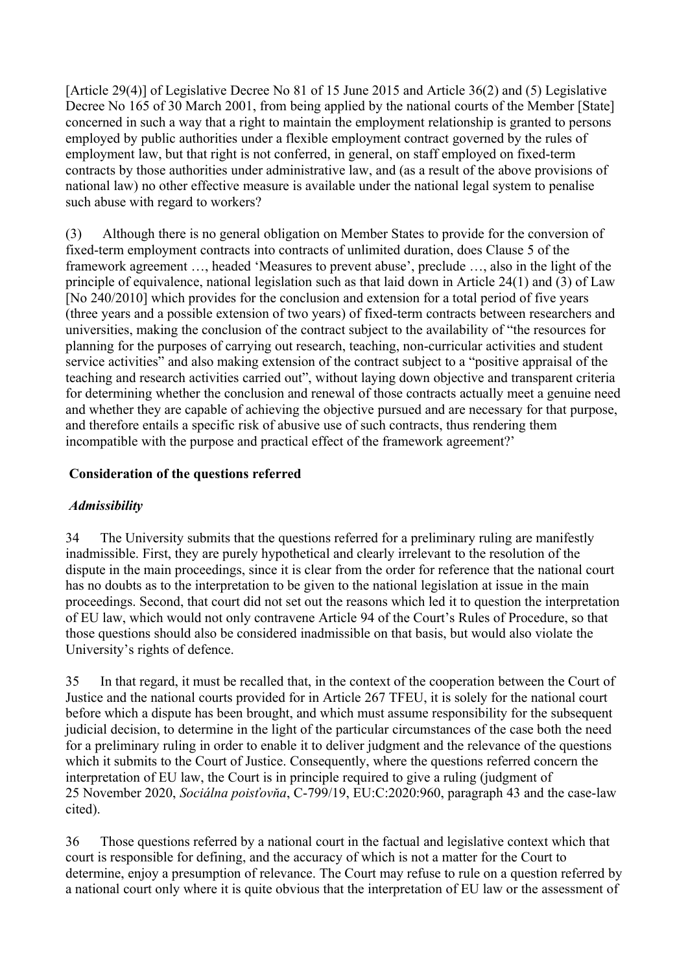[Article 29(4)] of Legislative Decree No 81 of 15 June 2015 and Article 36(2) and (5) Legislative Decree No 165 of 30 March 2001, from being applied by the national courts of the Member [State] concerned in such a way that a right to maintain the employment relationship is granted to persons employed by public authorities under a flexible employment contract governed by the rules of employment law, but that right is not conferred, in general, on staff employed on fixed-term contracts by those authorities under administrative law, and (as a result of the above provisions of national law) no other effective measure is available under the national legal system to penalise such abuse with regard to workers?

(3) Although there is no general obligation on Member States to provide for the conversion of fixed-term employment contracts into contracts of unlimited duration, does Clause 5 of the framework agreement …, headed 'Measures to prevent abuse', preclude …, also in the light of the principle of equivalence, national legislation such as that laid down in Article 24(1) and (3) of Law [No 240/2010] which provides for the conclusion and extension for a total period of five years (three years and a possible extension of two years) of fixed-term contracts between researchers and universities, making the conclusion of the contract subject to the availability of "the resources for planning for the purposes of carrying out research, teaching, non-curricular activities and student service activities" and also making extension of the contract subject to a "positive appraisal of the teaching and research activities carried out", without laying down objective and transparent criteria for determining whether the conclusion and renewal of those contracts actually meet a genuine need and whether they are capable of achieving the objective pursued and are necessary for that purpose, and therefore entails a specific risk of abusive use of such contracts, thus rendering them incompatible with the purpose and practical effect of the framework agreement?'

## **Consideration of the questions referred**

### *Admissibility*

34 The University submits that the questions referred for a preliminary ruling are manifestly inadmissible. First, they are purely hypothetical and clearly irrelevant to the resolution of the dispute in the main proceedings, since it is clear from the order for reference that the national court has no doubts as to the interpretation to be given to the national legislation at issue in the main proceedings. Second, that court did not set out the reasons which led it to question the interpretation of EU law, which would not only contravene Article 94 of the Court's Rules of Procedure, so that those questions should also be considered inadmissible on that basis, but would also violate the University's rights of defence.

35 In that regard, it must be recalled that, in the context of the cooperation between the Court of Justice and the national courts provided for in Article 267 TFEU, it is solely for the national court before which a dispute has been brought, and which must assume responsibility for the subsequent judicial decision, to determine in the light of the particular circumstances of the case both the need for a preliminary ruling in order to enable it to deliver judgment and the relevance of the questions which it submits to the Court of Justice. Consequently, where the questions referred concern the interpretation of EU law, the Court is in principle required to give a ruling (judgment of 25 November 2020, *Sociálna poisťovňa*, C-799/19, EU:C:2020:960, paragraph 43 and the case-law cited).

36 Those questions referred by a national court in the factual and legislative context which that court is responsible for defining, and the accuracy of which is not a matter for the Court to determine, enjoy a presumption of relevance. The Court may refuse to rule on a question referred by a national court only where it is quite obvious that the interpretation of EU law or the assessment of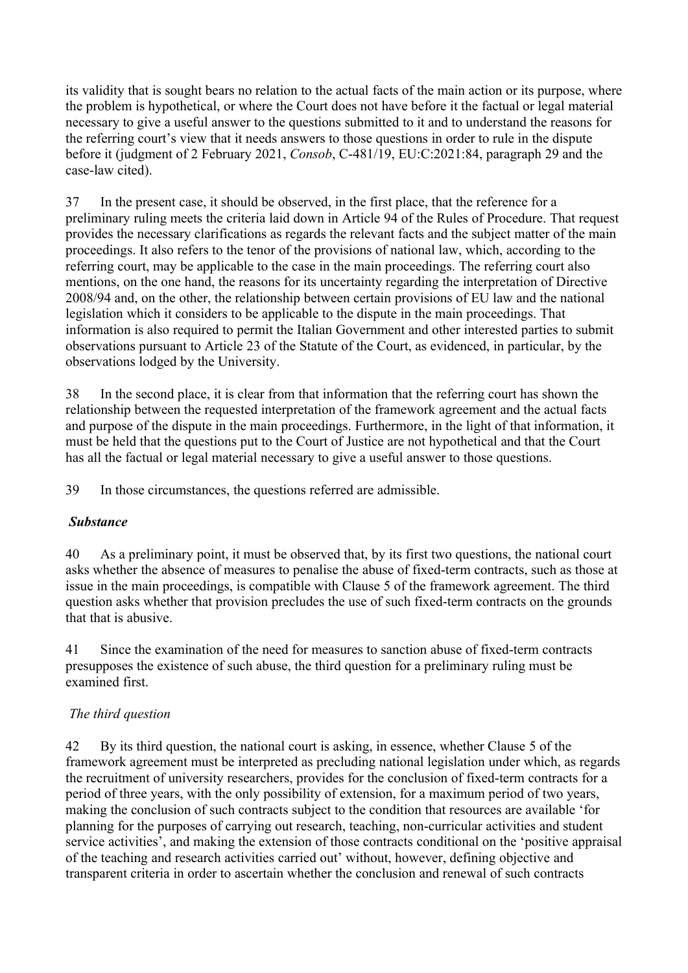its validity that is sought bears no relation to the actual facts of the main action or its purpose, where the problem is hypothetical, or where the Court does not have before it the factual or legal material necessary to give a useful answer to the questions submitted to it and to understand the reasons for the referring court's view that it needs answers to those questions in order to rule in the dispute before it (judgment of 2 February 2021, *Consob*, C-481/19, EU:C:2021:84, paragraph 29 and the case-law cited).

37 In the present case, it should be observed, in the first place, that the reference for a preliminary ruling meets the criteria laid down in Article 94 of the Rules of Procedure. That request provides the necessary clarifications as regards the relevant facts and the subject matter of the main proceedings. It also refers to the tenor of the provisions of national law, which, according to the referring court, may be applicable to the case in the main proceedings. The referring court also mentions, on the one hand, the reasons for its uncertainty regarding the interpretation of Directive 2008/94 and, on the other, the relationship between certain provisions of EU law and the national legislation which it considers to be applicable to the dispute in the main proceedings. That information is also required to permit the Italian Government and other interested parties to submit observations pursuant to Article 23 of the Statute of the Court, as evidenced, in particular, by the observations lodged by the University.

38 In the second place, it is clear from that information that the referring court has shown the relationship between the requested interpretation of the framework agreement and the actual facts and purpose of the dispute in the main proceedings. Furthermore, in the light of that information, it must be held that the questions put to the Court of Justice are not hypothetical and that the Court has all the factual or legal material necessary to give a useful answer to those questions.

39 In those circumstances, the questions referred are admissible.

# *Substance*

40 As a preliminary point, it must be observed that, by its first two questions, the national court asks whether the absence of measures to penalise the abuse of fixed-term contracts, such as those at issue in the main proceedings, is compatible with Clause 5 of the framework agreement. The third question asks whether that provision precludes the use of such fixed-term contracts on the grounds that that is abusive.

41 Since the examination of the need for measures to sanction abuse of fixed-term contracts presupposes the existence of such abuse, the third question for a preliminary ruling must be examined first.

# *The third question*

42 By its third question, the national court is asking, in essence, whether Clause 5 of the framework agreement must be interpreted as precluding national legislation under which, as regards the recruitment of university researchers, provides for the conclusion of fixed-term contracts for a period of three years, with the only possibility of extension, for a maximum period of two years, making the conclusion of such contracts subject to the condition that resources are available 'for planning for the purposes of carrying out research, teaching, non-curricular activities and student service activities', and making the extension of those contracts conditional on the 'positive appraisal of the teaching and research activities carried out' without, however, defining objective and transparent criteria in order to ascertain whether the conclusion and renewal of such contracts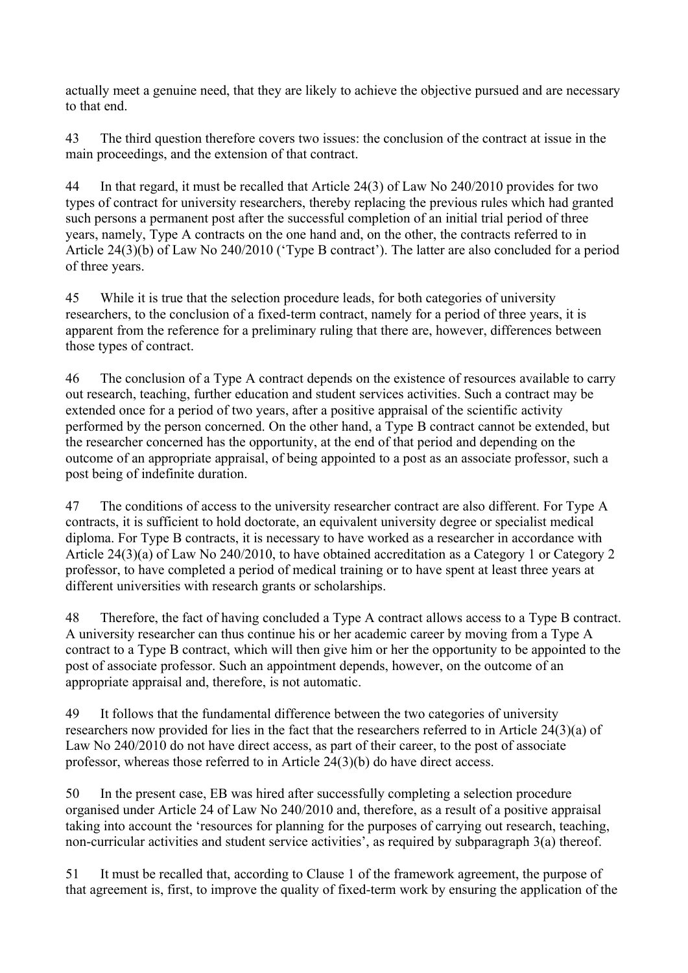actually meet a genuine need, that they are likely to achieve the objective pursued and are necessary to that end.

43 The third question therefore covers two issues: the conclusion of the contract at issue in the main proceedings, and the extension of that contract.

44 In that regard, it must be recalled that Article 24(3) of Law No 240/2010 provides for two types of contract for university researchers, thereby replacing the previous rules which had granted such persons a permanent post after the successful completion of an initial trial period of three years, namely, Type A contracts on the one hand and, on the other, the contracts referred to in Article 24(3)(b) of Law No 240/2010 ('Type B contract'). The latter are also concluded for a period of three years.

45 While it is true that the selection procedure leads, for both categories of university researchers, to the conclusion of a fixed-term contract, namely for a period of three years, it is apparent from the reference for a preliminary ruling that there are, however, differences between those types of contract.

46 The conclusion of a Type A contract depends on the existence of resources available to carry out research, teaching, further education and student services activities. Such a contract may be extended once for a period of two years, after a positive appraisal of the scientific activity performed by the person concerned. On the other hand, a Type B contract cannot be extended, but the researcher concerned has the opportunity, at the end of that period and depending on the outcome of an appropriate appraisal, of being appointed to a post as an associate professor, such a post being of indefinite duration.

47 The conditions of access to the university researcher contract are also different. For Type A contracts, it is sufficient to hold doctorate, an equivalent university degree or specialist medical diploma. For Type B contracts, it is necessary to have worked as a researcher in accordance with Article 24(3)(a) of Law No 240/2010, to have obtained accreditation as a Category 1 or Category 2 professor, to have completed a period of medical training or to have spent at least three years at different universities with research grants or scholarships.

48 Therefore, the fact of having concluded a Type A contract allows access to a Type B contract. A university researcher can thus continue his or her academic career by moving from a Type A contract to a Type B contract, which will then give him or her the opportunity to be appointed to the post of associate professor. Such an appointment depends, however, on the outcome of an appropriate appraisal and, therefore, is not automatic.

49 It follows that the fundamental difference between the two categories of university researchers now provided for lies in the fact that the researchers referred to in Article 24(3)(a) of Law No 240/2010 do not have direct access, as part of their career, to the post of associate professor, whereas those referred to in Article 24(3)(b) do have direct access.

50 In the present case, EB was hired after successfully completing a selection procedure organised under Article 24 of Law No 240/2010 and, therefore, as a result of a positive appraisal taking into account the 'resources for planning for the purposes of carrying out research, teaching, non-curricular activities and student service activities', as required by subparagraph 3(a) thereof.

51 It must be recalled that, according to Clause 1 of the framework agreement, the purpose of that agreement is, first, to improve the quality of fixed-term work by ensuring the application of the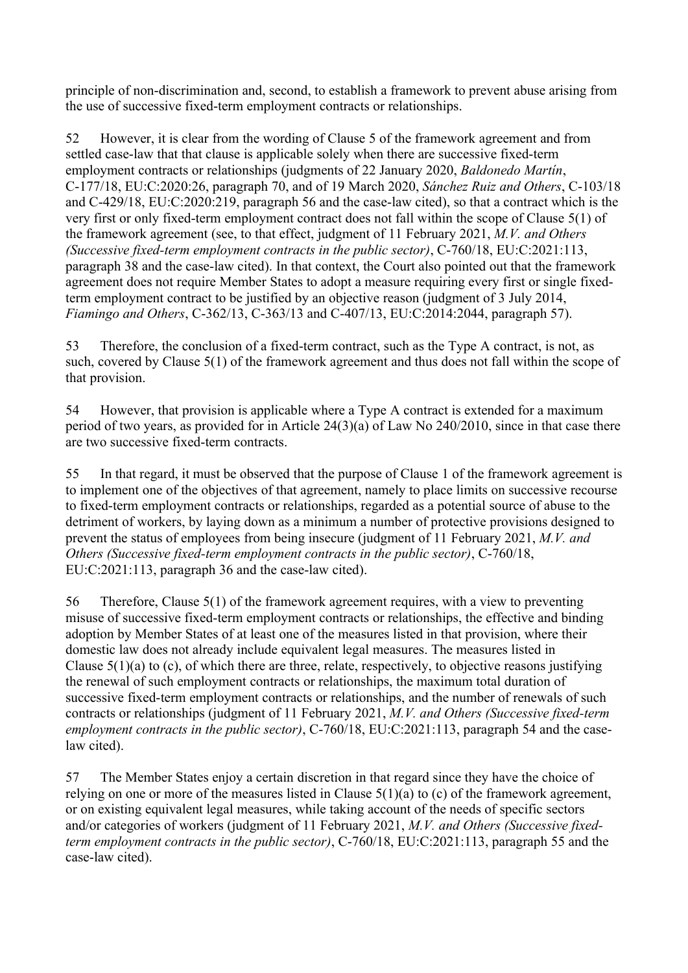principle of non-discrimination and, second, to establish a framework to prevent abuse arising from the use of successive fixed-term employment contracts or relationships.

52 However, it is clear from the wording of Clause 5 of the framework agreement and from settled case-law that that clause is applicable solely when there are successive fixed-term employment contracts or relationships (judgments of 22 January 2020, *Baldonedo Martín*, C-177/18, EU:C:2020:26, paragraph 70, and of 19 March 2020, *Sánchez Ruiz and Others*, C-103/18 and C-429/18, EU:C:2020:219, paragraph 56 and the case-law cited), so that a contract which is the very first or only fixed-term employment contract does not fall within the scope of Clause 5(1) of the framework agreement (see, to that effect, judgment of 11 February 2021, *M.V. and Others (Successive fixed-term employment contracts in the public sector)*, C-760/18, EU:C:2021:113, paragraph 38 and the case-law cited). In that context, the Court also pointed out that the framework agreement does not require Member States to adopt a measure requiring every first or single fixedterm employment contract to be justified by an objective reason (judgment of 3 July 2014, *Fiamingo and Others*, C-362/13, C-363/13 and C-407/13, EU:C:2014:2044, paragraph 57).

53 Therefore, the conclusion of a fixed-term contract, such as the Type A contract, is not, as such, covered by Clause 5(1) of the framework agreement and thus does not fall within the scope of that provision.

54 However, that provision is applicable where a Type A contract is extended for a maximum period of two years, as provided for in Article 24(3)(a) of Law No 240/2010, since in that case there are two successive fixed-term contracts.

55 In that regard, it must be observed that the purpose of Clause 1 of the framework agreement is to implement one of the objectives of that agreement, namely to place limits on successive recourse to fixed-term employment contracts or relationships, regarded as a potential source of abuse to the detriment of workers, by laying down as a minimum a number of protective provisions designed to prevent the status of employees from being insecure (judgment of 11 February 2021, *M.V. and Others (Successive fixed-term employment contracts in the public sector)*, C-760/18, EU:C:2021:113, paragraph 36 and the case-law cited).

56 Therefore, Clause 5(1) of the framework agreement requires, with a view to preventing misuse of successive fixed-term employment contracts or relationships, the effective and binding adoption by Member States of at least one of the measures listed in that provision, where their domestic law does not already include equivalent legal measures. The measures listed in Clause 5(1)(a) to (c), of which there are three, relate, respectively, to objective reasons justifying the renewal of such employment contracts or relationships, the maximum total duration of successive fixed-term employment contracts or relationships, and the number of renewals of such contracts or relationships (judgment of 11 February 2021, *M.V. and Others (Successive fixed-term employment contracts in the public sector)*, C-760/18, EU:C:2021:113, paragraph 54 and the caselaw cited).

57 The Member States enjoy a certain discretion in that regard since they have the choice of relying on one or more of the measures listed in Clause 5(1)(a) to (c) of the framework agreement, or on existing equivalent legal measures, while taking account of the needs of specific sectors and/or categories of workers (judgment of 11 February 2021, *M.V. and Others (Successive fixedterm employment contracts in the public sector)*, C-760/18, EU:C:2021:113, paragraph 55 and the case-law cited).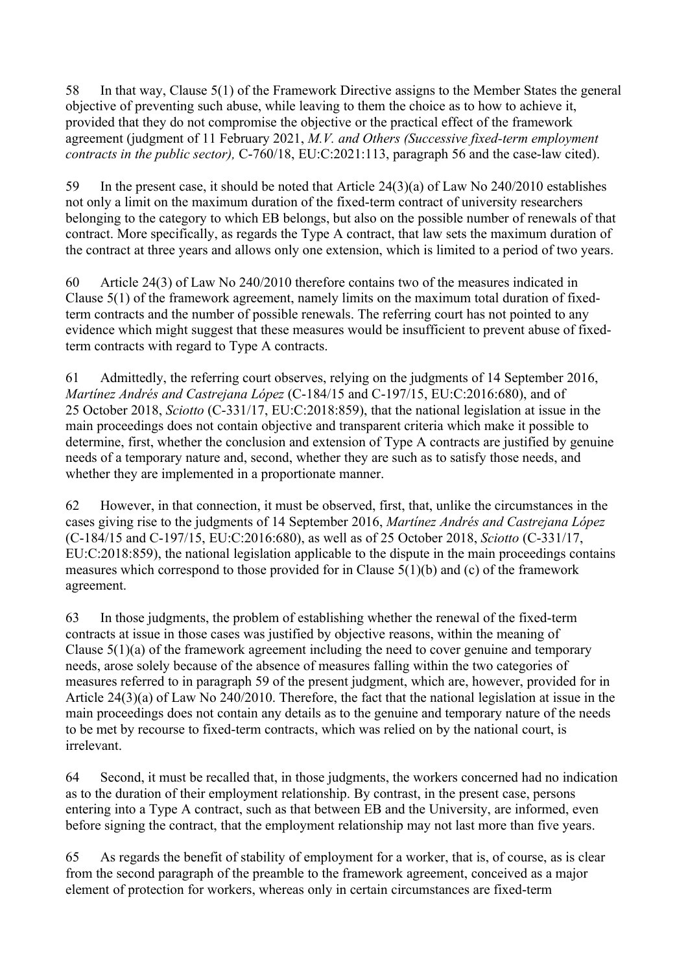58 In that way, Clause 5(1) of the Framework Directive assigns to the Member States the general objective of preventing such abuse, while leaving to them the choice as to how to achieve it, provided that they do not compromise the objective or the practical effect of the framework agreement (judgment of 11 February 2021, *M.V. and Others (Successive fixed-term employment contracts in the public sector),* C-760/18, EU:C:2021:113, paragraph 56 and the case-law cited).

59 In the present case, it should be noted that Article 24(3)(a) of Law No 240/2010 establishes not only a limit on the maximum duration of the fixed-term contract of university researchers belonging to the category to which EB belongs, but also on the possible number of renewals of that contract. More specifically, as regards the Type A contract, that law sets the maximum duration of the contract at three years and allows only one extension, which is limited to a period of two years.

60 Article 24(3) of Law No 240/2010 therefore contains two of the measures indicated in Clause 5(1) of the framework agreement, namely limits on the maximum total duration of fixedterm contracts and the number of possible renewals. The referring court has not pointed to any evidence which might suggest that these measures would be insufficient to prevent abuse of fixedterm contracts with regard to Type A contracts.

61 Admittedly, the referring court observes, relying on the judgments of 14 September 2016, *Martínez Andrés and Castrejana López* (C-184/15 and C-197/15, EU:C:2016:680), and of 25 October 2018, *Sciotto* (C-331/17, EU:C:2018:859), that the national legislation at issue in the main proceedings does not contain objective and transparent criteria which make it possible to determine, first, whether the conclusion and extension of Type A contracts are justified by genuine needs of a temporary nature and, second, whether they are such as to satisfy those needs, and whether they are implemented in a proportionate manner.

62 However, in that connection, it must be observed, first, that, unlike the circumstances in the cases giving rise to the judgments of 14 September 2016, *Martínez Andrés and Castrejana López* (C-184/15 and C-197/15, EU:C:2016:680), as well as of 25 October 2018, *Sciotto* (C-331/17, EU:C:2018:859), the national legislation applicable to the dispute in the main proceedings contains measures which correspond to those provided for in Clause 5(1)(b) and (c) of the framework agreement.

63 In those judgments, the problem of establishing whether the renewal of the fixed-term contracts at issue in those cases was justified by objective reasons, within the meaning of Clause 5(1)(a) of the framework agreement including the need to cover genuine and temporary needs, arose solely because of the absence of measures falling within the two categories of measures referred to in paragraph 59 of the present judgment, which are, however, provided for in Article 24(3)(a) of Law No 240/2010. Therefore, the fact that the national legislation at issue in the main proceedings does not contain any details as to the genuine and temporary nature of the needs to be met by recourse to fixed-term contracts, which was relied on by the national court, is irrelevant.

64 Second, it must be recalled that, in those judgments, the workers concerned had no indication as to the duration of their employment relationship. By contrast, in the present case, persons entering into a Type A contract, such as that between EB and the University, are informed, even before signing the contract, that the employment relationship may not last more than five years.

65 As regards the benefit of stability of employment for a worker, that is, of course, as is clear from the second paragraph of the preamble to the framework agreement, conceived as a major element of protection for workers, whereas only in certain circumstances are fixed-term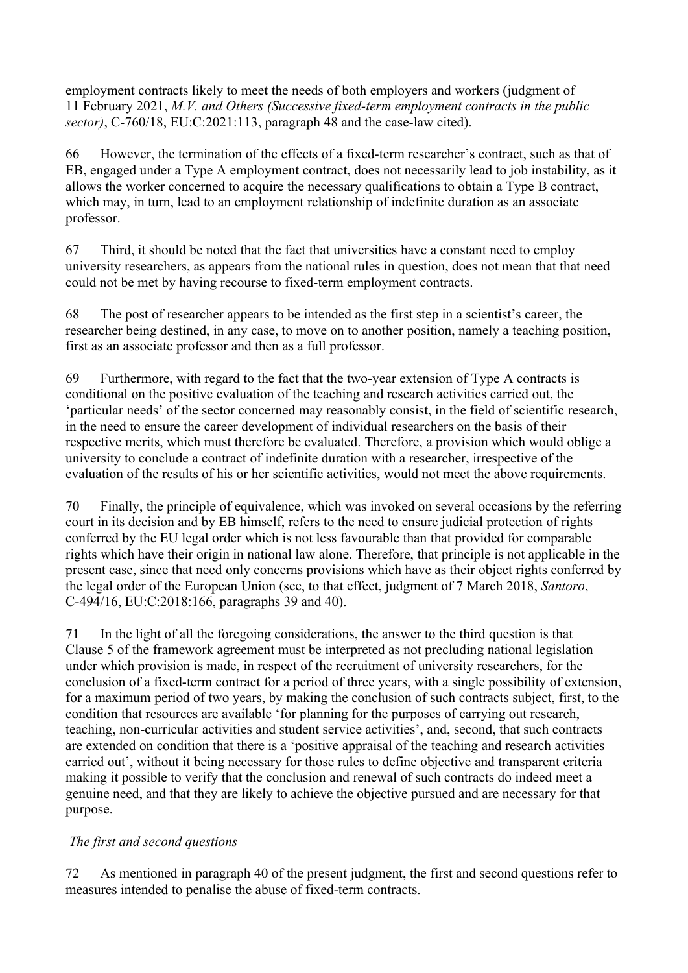employment contracts likely to meet the needs of both employers and workers (judgment of 11 February 2021, *M.V. and Others (Successive fixed-term employment contracts in the public sector)*, C-760/18, EU:C:2021:113, paragraph 48 and the case-law cited).

66 However, the termination of the effects of a fixed-term researcher's contract, such as that of EB, engaged under a Type A employment contract, does not necessarily lead to job instability, as it allows the worker concerned to acquire the necessary qualifications to obtain a Type B contract, which may, in turn, lead to an employment relationship of indefinite duration as an associate professor.

67 Third, it should be noted that the fact that universities have a constant need to employ university researchers, as appears from the national rules in question, does not mean that that need could not be met by having recourse to fixed-term employment contracts.

68 The post of researcher appears to be intended as the first step in a scientist's career, the researcher being destined, in any case, to move on to another position, namely a teaching position, first as an associate professor and then as a full professor.

69 Furthermore, with regard to the fact that the two-year extension of Type A contracts is conditional on the positive evaluation of the teaching and research activities carried out, the 'particular needs' of the sector concerned may reasonably consist, in the field of scientific research, in the need to ensure the career development of individual researchers on the basis of their respective merits, which must therefore be evaluated. Therefore, a provision which would oblige a university to conclude a contract of indefinite duration with a researcher, irrespective of the evaluation of the results of his or her scientific activities, would not meet the above requirements.

70 Finally, the principle of equivalence, which was invoked on several occasions by the referring court in its decision and by EB himself, refers to the need to ensure judicial protection of rights conferred by the EU legal order which is not less favourable than that provided for comparable rights which have their origin in national law alone. Therefore, that principle is not applicable in the present case, since that need only concerns provisions which have as their object rights conferred by the legal order of the European Union (see, to that effect, judgment of 7 March 2018, *Santoro*, C-494/16, EU:C:2018:166, paragraphs 39 and 40).

71 In the light of all the foregoing considerations, the answer to the third question is that Clause 5 of the framework agreement must be interpreted as not precluding national legislation under which provision is made, in respect of the recruitment of university researchers, for the conclusion of a fixed-term contract for a period of three years, with a single possibility of extension, for a maximum period of two years, by making the conclusion of such contracts subject, first, to the condition that resources are available 'for planning for the purposes of carrying out research, teaching, non-curricular activities and student service activities', and, second, that such contracts are extended on condition that there is a 'positive appraisal of the teaching and research activities carried out', without it being necessary for those rules to define objective and transparent criteria making it possible to verify that the conclusion and renewal of such contracts do indeed meet a genuine need, and that they are likely to achieve the objective pursued and are necessary for that purpose.

# *The first and second questions*

72 As mentioned in paragraph 40 of the present judgment, the first and second questions refer to measures intended to penalise the abuse of fixed-term contracts.